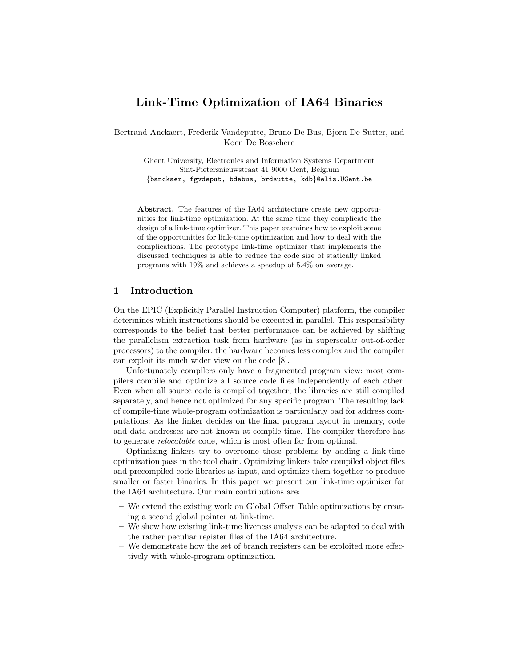# Link-Time Optimization of IA64 Binaries

Bertrand Anckaert, Frederik Vandeputte, Bruno De Bus, Bjorn De Sutter, and Koen De Bosschere

Ghent University, Electronics and Information Systems Department Sint-Pietersnieuwstraat 41 9000 Gent, Belgium {banckaer, fgvdeput, bdebus, brdsutte, kdb}@elis.UGent.be

Abstract. The features of the IA64 architecture create new opportunities for link-time optimization. At the same time they complicate the design of a link-time optimizer. This paper examines how to exploit some of the opportunities for link-time optimization and how to deal with the complications. The prototype link-time optimizer that implements the discussed techniques is able to reduce the code size of statically linked programs with 19% and achieves a speedup of 5.4% on average.

### 1 Introduction

On the EPIC (Explicitly Parallel Instruction Computer) platform, the compiler determines which instructions should be executed in parallel. This responsibility corresponds to the belief that better performance can be achieved by shifting the parallelism extraction task from hardware (as in superscalar out-of-order processors) to the compiler: the hardware becomes less complex and the compiler can exploit its much wider view on the code [8].

Unfortunately compilers only have a fragmented program view: most compilers compile and optimize all source code files independently of each other. Even when all source code is compiled together, the libraries are still compiled separately, and hence not optimized for any specific program. The resulting lack of compile-time whole-program optimization is particularly bad for address computations: As the linker decides on the final program layout in memory, code and data addresses are not known at compile time. The compiler therefore has to generate relocatable code, which is most often far from optimal.

Optimizing linkers try to overcome these problems by adding a link-time optimization pass in the tool chain. Optimizing linkers take compiled object files and precompiled code libraries as input, and optimize them together to produce smaller or faster binaries. In this paper we present our link-time optimizer for the IA64 architecture. Our main contributions are:

- We extend the existing work on Global Offset Table optimizations by creating a second global pointer at link-time.
- We show how existing link-time liveness analysis can be adapted to deal with the rather peculiar register files of the IA64 architecture.
- We demonstrate how the set of branch registers can be exploited more effectively with whole-program optimization.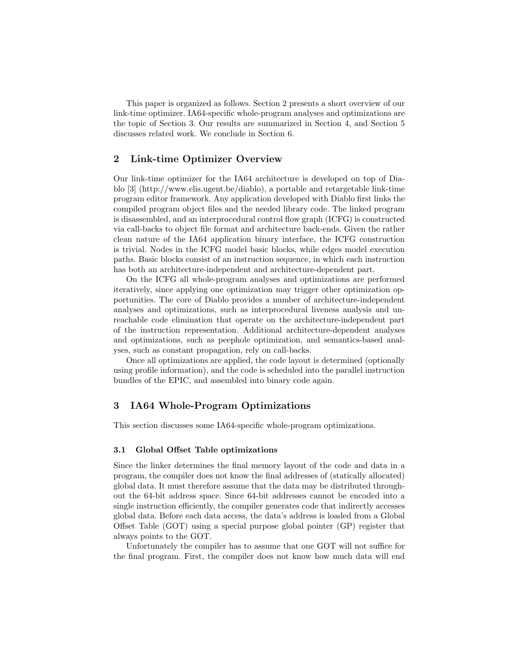This paper is organized as follows. Section 2 presents a short overview of our link-time optimizer. IA64-specific whole-program analyses and optimizations are the topic of Section 3. Our results are summarized in Section 4, and Section 5 discusses related work. We conclude in Section 6.

### 2 Link-time Optimizer Overview

Our link-time optimizer for the IA64 architecture is developed on top of Diablo [3] (http://www.elis.ugent.be/diablo), a portable and retargetable link-time program editor framework. Any application developed with Diablo first links the compiled program object files and the needed library code. The linked program is disassembled, and an interprocedural control flow graph (ICFG) is constructed via call-backs to object file format and architecture back-ends. Given the rather clean nature of the IA64 application binary interface, the ICFG construction is trivial. Nodes in the ICFG model basic blocks, while edges model execution paths. Basic blocks consist of an instruction sequence, in which each instruction has both an architecture-independent and architecture-dependent part.

On the ICFG all whole-program analyses and optimizations are performed iteratively, since applying one optimization may trigger other optimization opportunities. The core of Diablo provides a number of architecture-independent analyses and optimizations, such as interprocedural liveness analysis and unreachable code elimination that operate on the architecture-independent part of the instruction representation. Additional architecture-dependent analyses and optimizations, such as peephole optimization, and semantics-based analyses, such as constant propagation, rely on call-backs.

Once all optimizations are applied, the code layout is determined (optionally using profile information), and the code is scheduled into the parallel instruction bundles of the EPIC, and assembled into binary code again.

### 3 IA64 Whole-Program Optimizations

This section discusses some IA64-specific whole-program optimizations.

### 3.1 Global Offset Table optimizations

Since the linker determines the final memory layout of the code and data in a program, the compiler does not know the final addresses of (statically allocated) global data. It must therefore assume that the data may be distributed throughout the 64-bit address space. Since 64-bit addresses cannot be encoded into a single instruction efficiently, the compiler generates code that indirectly accesses global data. Before each data access, the data's address is loaded from a Global Offset Table (GOT) using a special purpose global pointer (GP) register that always points to the GOT.

Unfortunately the compiler has to assume that one GOT will not suffice for the final program. First, the compiler does not know how much data will end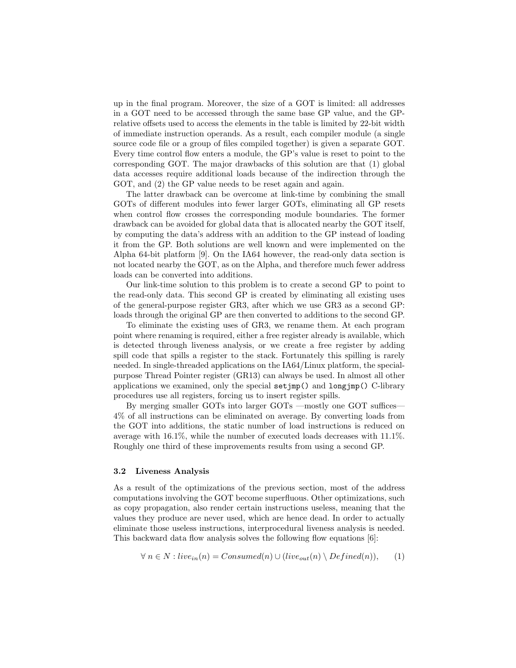up in the final program. Moreover, the size of a GOT is limited: all addresses in a GOT need to be accessed through the same base GP value, and the GPrelative offsets used to access the elements in the table is limited by 22-bit width of immediate instruction operands. As a result, each compiler module (a single source code file or a group of files compiled together) is given a separate GOT. Every time control flow enters a module, the GP's value is reset to point to the corresponding GOT. The major drawbacks of this solution are that (1) global data accesses require additional loads because of the indirection through the GOT, and (2) the GP value needs to be reset again and again.

The latter drawback can be overcome at link-time by combining the small GOTs of different modules into fewer larger GOTs, eliminating all GP resets when control flow crosses the corresponding module boundaries. The former drawback can be avoided for global data that is allocated nearby the GOT itself, by computing the data's address with an addition to the GP instead of loading it from the GP. Both solutions are well known and were implemented on the Alpha 64-bit platform [9]. On the IA64 however, the read-only data section is not located nearby the GOT, as on the Alpha, and therefore much fewer address loads can be converted into additions.

Our link-time solution to this problem is to create a second GP to point to the read-only data. This second GP is created by eliminating all existing uses of the general-purpose register GR3, after which we use GR3 as a second GP: loads through the original GP are then converted to additions to the second GP.

To eliminate the existing uses of GR3, we rename them. At each program point where renaming is required, either a free register already is available, which is detected through liveness analysis, or we create a free register by adding spill code that spills a register to the stack. Fortunately this spilling is rarely needed. In single-threaded applications on the IA64/Linux platform, the specialpurpose Thread Pointer register (GR13) can always be used. In almost all other applications we examined, only the special setjmp() and longjmp() C-library procedures use all registers, forcing us to insert register spills.

By merging smaller GOTs into larger GOTs —mostly one GOT suffices— 4% of all instructions can be eliminated on average. By converting loads from the GOT into additions, the static number of load instructions is reduced on average with 16.1%, while the number of executed loads decreases with 11.1%. Roughly one third of these improvements results from using a second GP.

#### 3.2 Liveness Analysis

As a result of the optimizations of the previous section, most of the address computations involving the GOT become superfluous. Other optimizations, such as copy propagation, also render certain instructions useless, meaning that the values they produce are never used, which are hence dead. In order to actually eliminate those useless instructions, interprocedural liveness analysis is needed. This backward data flow analysis solves the following flow equations [6]:

$$
\forall n \in N: live_{in}(n) = Consumed(n) \cup (live_{out}(n) \setminus Defined(n)),
$$
 (1)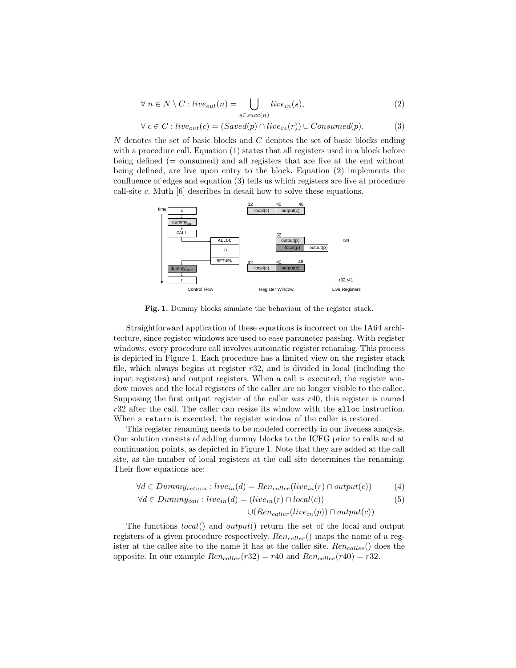$$
\forall n \in N \setminus C : live_{out}(n) = \bigcup_{s \in succ(n)} live_{in}(s),
$$
\n(2)

$$
\forall c \in C: live_{out}(c) = (Saved(p) \cap live_{in}(r)) \cup Consumed(p).
$$
 (3)

 $N$  denotes the set of basic blocks and  $C$  denotes the set of basic blocks ending with a procedure call. Equation (1) states that all registers used in a block before being defined (= consumed) and all registers that are live at the end without being defined, are live upon entry to the block. Equation (2) implements the confluence of edges and equation (3) tells us which registers are live at procedure call-site c. Muth [6] describes in detail how to solve these equations.



Fig. 1. Dummy blocks simulate the behaviour of the register stack.

Straightforward application of these equations is incorrect on the IA64 architecture, since register windows are used to ease parameter passing. With register windows, every procedure call involves automatic register renaming. This process is depicted in Figure 1. Each procedure has a limited view on the register stack file, which always begins at register r32, and is divided in local (including the input registers) and output registers. When a call is executed, the register window moves and the local registers of the caller are no longer visible to the callee. Supposing the first output register of the caller was  $r40$ , this register is named r32 after the call. The caller can resize its window with the alloc instruction. When a return is executed, the register window of the caller is restored.

This register renaming needs to be modeled correctly in our liveness analysis. Our solution consists of adding dummy blocks to the ICFG prior to calls and at continuation points, as depicted in Figure 1. Note that they are added at the call site, as the number of local registers at the call site determines the renaming. Their flow equations are:

$$
\forall d \in Dummy_{return} : live_{in}(d) = Ren_{value}(live_{in}(r) \cap output(c))
$$
 (4)

$$
\forall d \in Dummy_{call} : live_{in}(d) = (live_{in}(r) \cap local(c))
$$
\n
$$
\cup (Ren_{caller}(live_{in}(p)) \cap output(c))
$$
\n(5)

The functions  $local()$  and  $output()$  return the set of the local and output registers of a given procedure respectively.  $Ren_{caller}()$  maps the name of a register at the callee site to the name it has at the caller site.  $Ren_{called}()$  does the opposite. In our example  $Ren_{\text{caller}}(r32) = r40$  and  $Ren_{\text{callee}}(r40) = r32$ .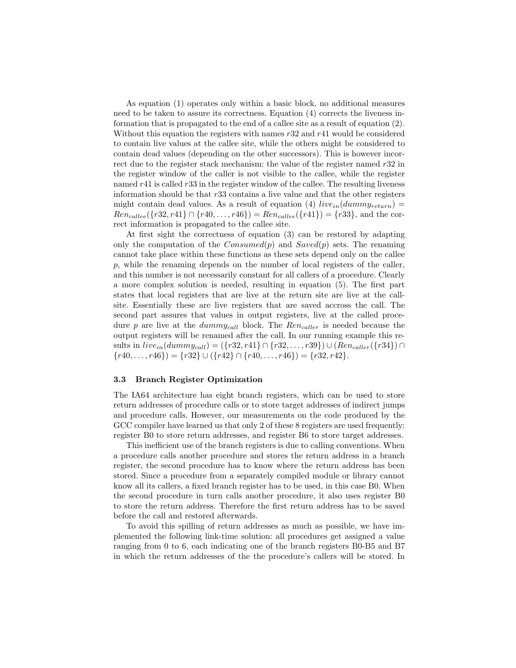As equation (1) operates only within a basic block, no additional measures need to be taken to assure its correctness. Equation (4) corrects the liveness information that is propagated to the end of a callee site as a result of equation (2). Without this equation the registers with names  $r32$  and  $r41$  would be considered to contain live values at the callee site, while the others might be considered to contain dead values (depending on the other successors). This is however incorrect due to the register stack mechanism: the value of the register named  $r32$  in the register window of the caller is not visible to the callee, while the register named r41 is called r33 in the register window of the callee. The resulting liveness information should be that  $r33$  contains a live value and that the other registers might contain dead values. As a result of equation (4)  $live_{in}(dummy_{return})$  $Ren_{called}({r32, r41} \cap {r40, \ldots, r46}) = Ren_{called}({r41}) = {r33},$  and the correct information is propagated to the callee site.

At first sight the correctness of equation (3) can be restored by adapting only the computation of the  $Consumed(p)$  and  $Saved(p)$  sets. The renaming cannot take place within these functions as these sets depend only on the callee  $p$ , while the renaming depends on the number of local registers of the caller, and this number is not necessarily constant for all callers of a procedure. Clearly a more complex solution is needed, resulting in equation (5). The first part states that local registers that are live at the return site are live at the callsite. Essentially these are live registers that are saved accross the call. The second part assures that values in output registers, live at the called procedure p are live at the  $dummycall$  block. The  $Ren_{caller}$  is needed because the output registers will be renamed after the call. In our running example this results in  $live_{in}(dummy_{call}) = (\{r32, r41\} \cap \{r32, ..., r39\}) \cup (Ren_{caller}(\{r34\}) \cap$  ${r40, \ldots, r46} = {r32} \cup ({r42} \cap {r40, \ldots, r46}) = {r32, r42}.$ 

#### 3.3 Branch Register Optimization

The IA64 architecture has eight branch registers, which can be used to store return addresses of procedure calls or to store target addresses of indirect jumps and procedure calls. However, our measurements on the code produced by the GCC compiler have learned us that only 2 of these 8 registers are used frequently: register B0 to store return addresses, and register B6 to store target addresses.

This inefficient use of the branch registers is due to calling conventions. When a procedure calls another procedure and stores the return address in a branch register, the second procedure has to know where the return address has been stored. Since a procedure from a separately compiled module or library cannot know all its callers, a fixed branch register has to be used, in this case B0. When the second procedure in turn calls another procedure, it also uses register B0 to store the return address. Therefore the first return address has to be saved before the call and restored afterwards.

To avoid this spilling of return addresses as much as possible, we have implemented the following link-time solution: all procedures get assigned a value ranging from 0 to 6, each indicating one of the branch registers B0-B5 and B7 in which the return addresses of the the procedure's callers will be stored. In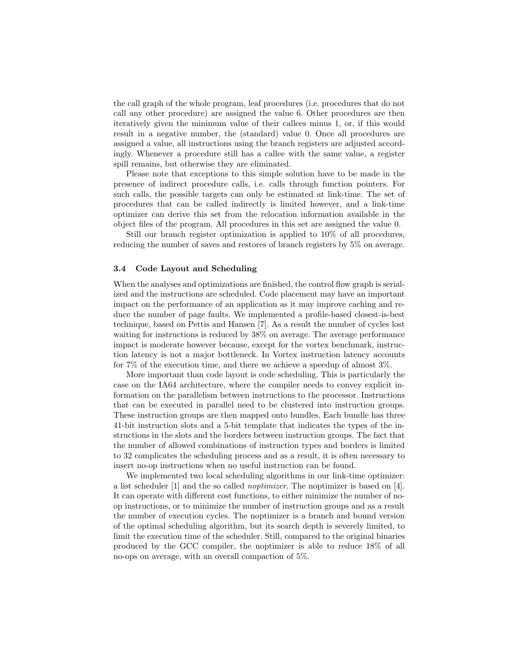the call graph of the whole program, leaf procedures (i.e. procedures that do not call any other procedure) are assigned the value 6. Other procedures are then iteratively given the minimum value of their callees minus 1, or, if this would result in a negative number, the (standard) value 0. Once all procedures are assigned a value, all instructions using the branch registers are adjusted accordingly. Whenever a procedure still has a callee with the same value, a register spill remains, but otherwise they are eliminated.

Please note that exceptions to this simple solution have to be made in the presence of indirect procedure calls, i.e. calls through function pointers. For such calls, the possible targets can only be estimated at link-time. The set of procedures that can be called indirectly is limited however, and a link-time optimizer can derive this set from the relocation information available in the object files of the program. All procedures in this set are assigned the value 0.

Still our branch register optimization is applied to 10% of all procedures, reducing the number of saves and restores of branch registers by 5% on average.

#### 3.4 Code Layout and Scheduling

When the analyses and optimizations are finished, the control flow graph is serialized and the instructions are scheduled. Code placement may have an important impact on the performance of an application as it may improve caching and reduce the number of page faults. We implemented a profile-based closest-is-best technique, based on Pettis and Hansen [7]. As a result the number of cycles lost waiting for instructions is reduced by 38% on average. The average performance impact is moderate however because, except for the vortex benchmark, instruction latency is not a major bottleneck. In Vortex instruction latency accounts for 7% of the execution time, and there we achieve a speedup of almost 3%.

More important than code layout is code scheduling. This is particularly the case on the IA64 architecture, where the compiler needs to convey explicit information on the parallelism between instructions to the processor. Instructions that can be executed in parallel need to be clustered into instruction groups. These instruction groups are then mapped onto bundles. Each bundle has three 41-bit instruction slots and a 5-bit template that indicates the types of the instructions in the slots and the borders between instruction groups. The fact that the number of allowed combinations of instruction types and borders is limited to 32 complicates the scheduling process and as a result, it is often necessary to insert no-op instructions when no useful instruction can be found.

We implemented two local scheduling algorithms in our link-time optimizer: a list scheduler [1] and the so called noptimizer. The noptimizer is based on [4]. It can operate with different cost functions, to either minimize the number of noop instructions, or to minimize the number of instruction groups and as a result the number of execution cycles. The noptimizer is a branch and bound version of the optimal scheduling algorithm, but its search depth is severely limited, to limit the execution time of the scheduler. Still, compared to the original binaries produced by the GCC compiler, the noptimizer is able to reduce 18% of all no-ops on average, with an overall compaction of 5%.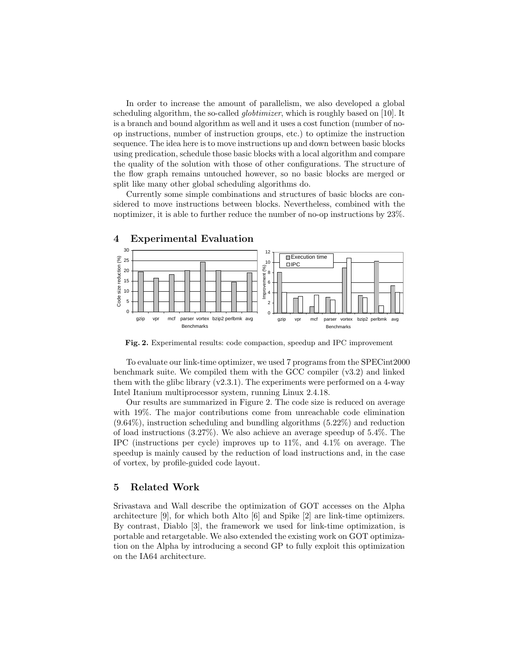In order to increase the amount of parallelism, we also developed a global scheduling algorithm, the so-called *globtimizer*, which is roughly based on [10]. It is a branch and bound algorithm as well and it uses a cost function (number of noop instructions, number of instruction groups, etc.) to optimize the instruction sequence. The idea here is to move instructions up and down between basic blocks using predication, schedule those basic blocks with a local algorithm and compare the quality of the solution with those of other configurations. The structure of the flow graph remains untouched however, so no basic blocks are merged or split like many other global scheduling algorithms do.

Currently some simple combinations and structures of basic blocks are considered to move instructions between blocks. Nevertheless, combined with the noptimizer, it is able to further reduce the number of no-op instructions by 23%.



4 Experimental Evaluation

Fig. 2. Experimental results: code compaction, speedup and IPC improvement

To evaluate our link-time optimizer, we used 7 programs from the SPECint2000 benchmark suite. We compiled them with the GCC compiler (v3.2) and linked them with the glibc library  $(v2.3.1)$ . The experiments were performed on a 4-way Intel Itanium multiprocessor system, running Linux 2.4.18.

Our results are summarized in Figure 2. The code size is reduced on average with 19%. The major contributions come from unreachable code elimination (9.64%), instruction scheduling and bundling algorithms (5.22%) and reduction of load instructions (3.27%). We also achieve an average speedup of 5.4%. The IPC (instructions per cycle) improves up to 11%, and 4.1% on average. The speedup is mainly caused by the reduction of load instructions and, in the case of vortex, by profile-guided code layout.

### 5 Related Work

Srivastava and Wall describe the optimization of GOT accesses on the Alpha architecture [9], for which both Alto [6] and Spike [2] are link-time optimizers. By contrast, Diablo [3], the framework we used for link-time optimization, is portable and retargetable. We also extended the existing work on GOT optimization on the Alpha by introducing a second GP to fully exploit this optimization on the IA64 architecture.